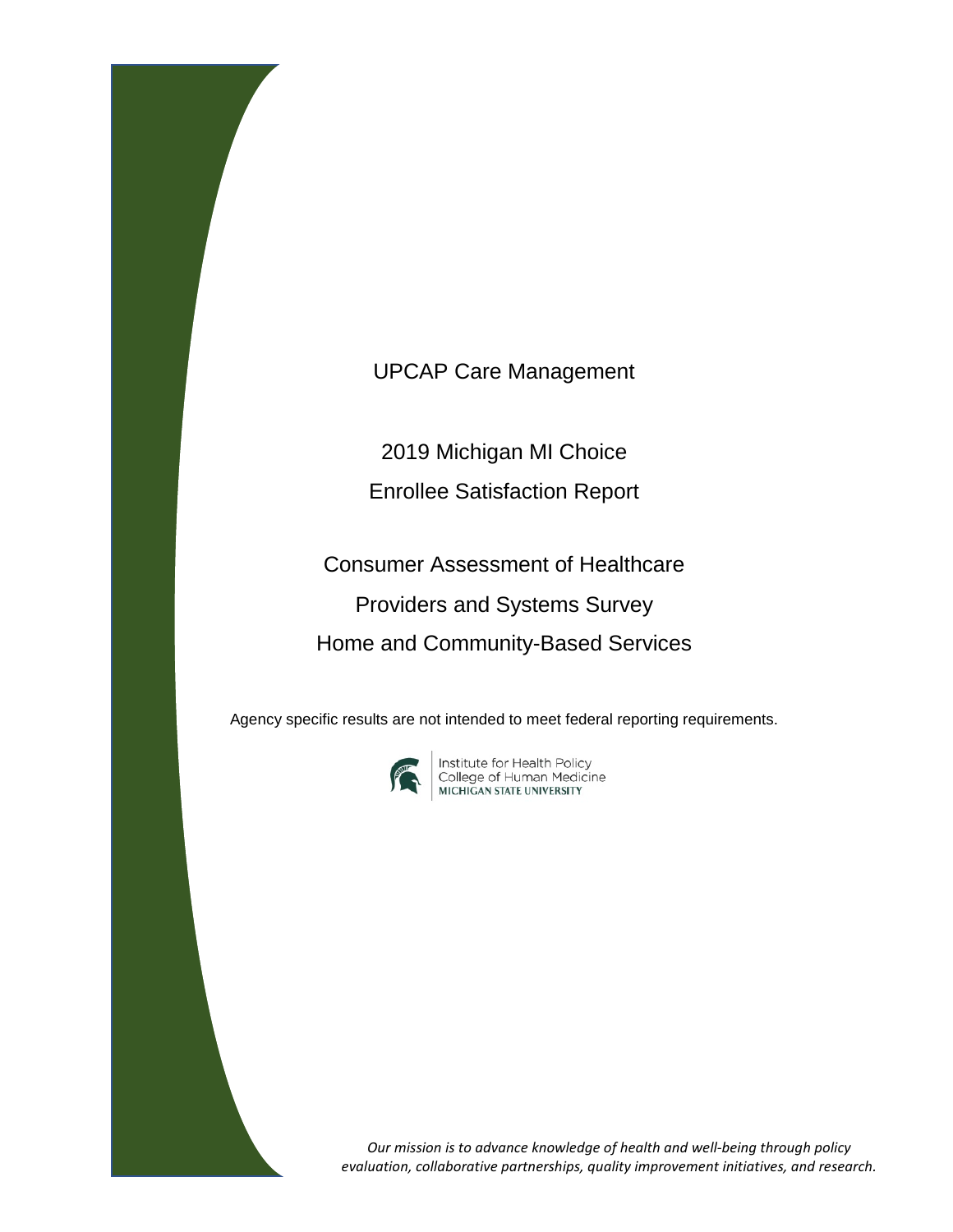UPCAP Care Management

2019 Michigan MI Choice Enrollee Satisfaction Report

Consumer Assessment of Healthcare Providers and Systems Survey Home and Community-Based Services

Agency specific results are not intended to meet federal reporting requirements.



**Institute for Health Policy<br>College of Human Medicine<br>MICHIGAN STATE UNIVERSITY** 

*Our mission is to advance knowledge of health and well-being through policy evaluation, collaborative partnerships, quality improvement initiatives, and research.*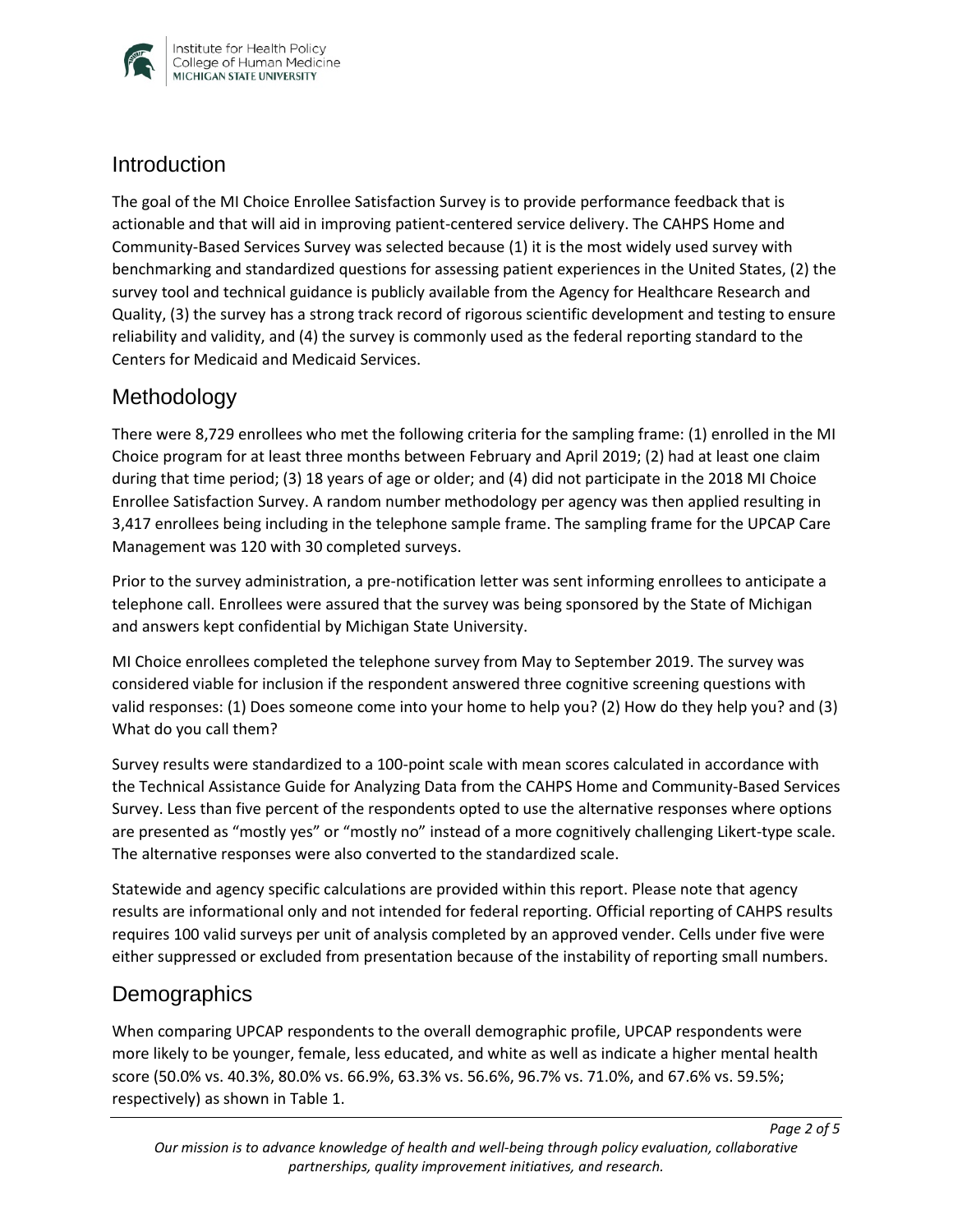

#### **Introduction**

The goal of the MI Choice Enrollee Satisfaction Survey is to provide performance feedback that is actionable and that will aid in improving patient-centered service delivery. The CAHPS Home and Community-Based Services Survey was selected because (1) it is the most widely used survey with benchmarking and standardized questions for assessing patient experiences in the United States, (2) the survey tool and technical guidance is publicly available from the Agency for Healthcare Research and Quality, (3) the survey has a strong track record of rigorous scientific development and testing to ensure reliability and validity, and (4) the survey is commonly used as the federal reporting standard to the Centers for Medicaid and Medicaid Services.

## Methodology

There were 8,729 enrollees who met the following criteria for the sampling frame: (1) enrolled in the MI Choice program for at least three months between February and April 2019; (2) had at least one claim during that time period; (3) 18 years of age or older; and (4) did not participate in the 2018 MI Choice Enrollee Satisfaction Survey. A random number methodology per agency was then applied resulting in 3,417 enrollees being including in the telephone sample frame. The sampling frame for the UPCAP Care Management was 120 with 30 completed surveys.

Prior to the survey administration, a pre-notification letter was sent informing enrollees to anticipate a telephone call. Enrollees were assured that the survey was being sponsored by the State of Michigan and answers kept confidential by Michigan State University.

MI Choice enrollees completed the telephone survey from May to September 2019. The survey was considered viable for inclusion if the respondent answered three cognitive screening questions with valid responses: (1) Does someone come into your home to help you? (2) How do they help you? and (3) What do you call them?

Survey results were standardized to a 100-point scale with mean scores calculated in accordance with the Technical Assistance Guide for Analyzing Data from the CAHPS Home and Community-Based Services Survey. Less than five percent of the respondents opted to use the alternative responses where options are presented as "mostly yes" or "mostly no" instead of a more cognitively challenging Likert-type scale. The alternative responses were also converted to the standardized scale.

Statewide and agency specific calculations are provided within this report. Please note that agency results are informational only and not intended for federal reporting. Official reporting of CAHPS results requires 100 valid surveys per unit of analysis completed by an approved vender. Cells under five were either suppressed or excluded from presentation because of the instability of reporting small numbers.

## **Demographics**

When comparing UPCAP respondents to the overall demographic profile, UPCAP respondents were more likely to be younger, female, less educated, and white as well as indicate a higher mental health score (50.0% vs. 40.3%, 80.0% vs. 66.9%, 63.3% vs. 56.6%, 96.7% vs. 71.0%, and 67.6% vs. 59.5%; respectively) as shown in Table 1.

*Page 2 of 5*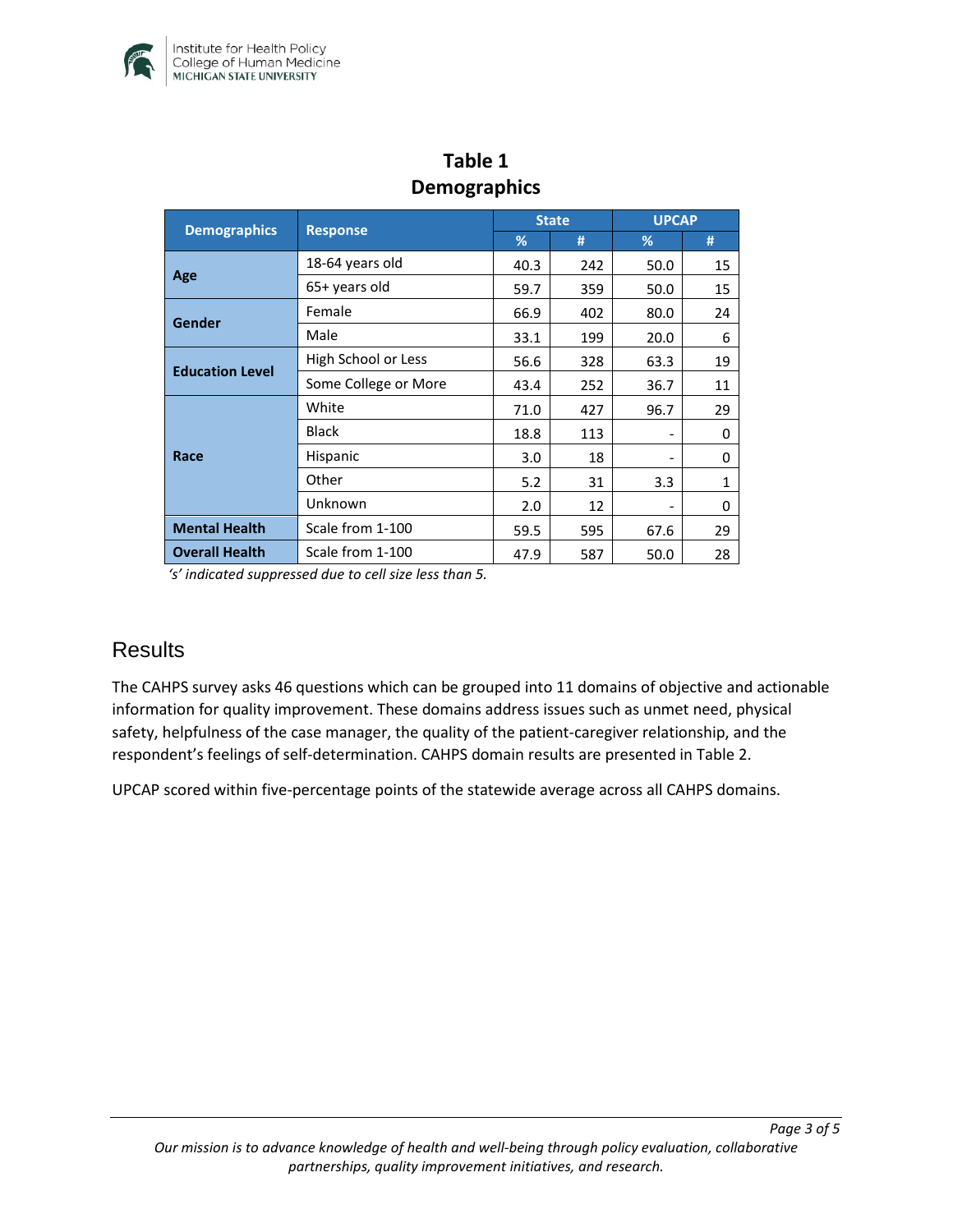

| DEIIIUKIAPIIIUS        |                      |              |     |              |              |  |  |  |  |
|------------------------|----------------------|--------------|-----|--------------|--------------|--|--|--|--|
|                        |                      | <b>State</b> |     | <b>UPCAP</b> |              |  |  |  |  |
| <b>Demographics</b>    | <b>Response</b>      | %            | #   | %            | #            |  |  |  |  |
| Age                    | 18-64 years old      | 40.3         | 242 | 50.0         | 15           |  |  |  |  |
|                        | 65+ years old        | 59.7         | 359 | 50.0         | 15           |  |  |  |  |
| <b>Gender</b>          | Female               | 66.9         | 402 | 80.0         | 24           |  |  |  |  |
|                        | Male                 | 33.1         | 199 | 20.0         | 6            |  |  |  |  |
| <b>Education Level</b> | High School or Less  | 56.6         | 328 | 63.3         | 19           |  |  |  |  |
|                        | Some College or More | 43.4         | 252 | 36.7         | 11           |  |  |  |  |
| Race                   | White                | 71.0         | 427 | 96.7         | 29           |  |  |  |  |
|                        | <b>Black</b>         | 18.8         | 113 |              | 0            |  |  |  |  |
|                        | Hispanic             | 3.0          | 18  |              | 0            |  |  |  |  |
|                        | Other                | 5.2          | 31  | 3.3          | $\mathbf{1}$ |  |  |  |  |
|                        | Unknown              | 2.0          | 12  |              | 0            |  |  |  |  |
| <b>Mental Health</b>   | Scale from 1-100     | 59.5         | 595 | 67.6         | 29           |  |  |  |  |
| <b>Overall Health</b>  | Scale from 1-100     | 47.9         | 587 | 50.0         | 28           |  |  |  |  |

## **Table 1 Demographics**

*'s' indicated suppressed due to cell size less than 5.* 

#### **Results**

The CAHPS survey asks 46 questions which can be grouped into 11 domains of objective and actionable information for quality improvement. These domains address issues such as unmet need, physical safety, helpfulness of the case manager, the quality of the patient-caregiver relationship, and the respondent's feelings of self-determination. CAHPS domain results are presented in Table 2.

UPCAP scored within five-percentage points of the statewide average across all CAHPS domains.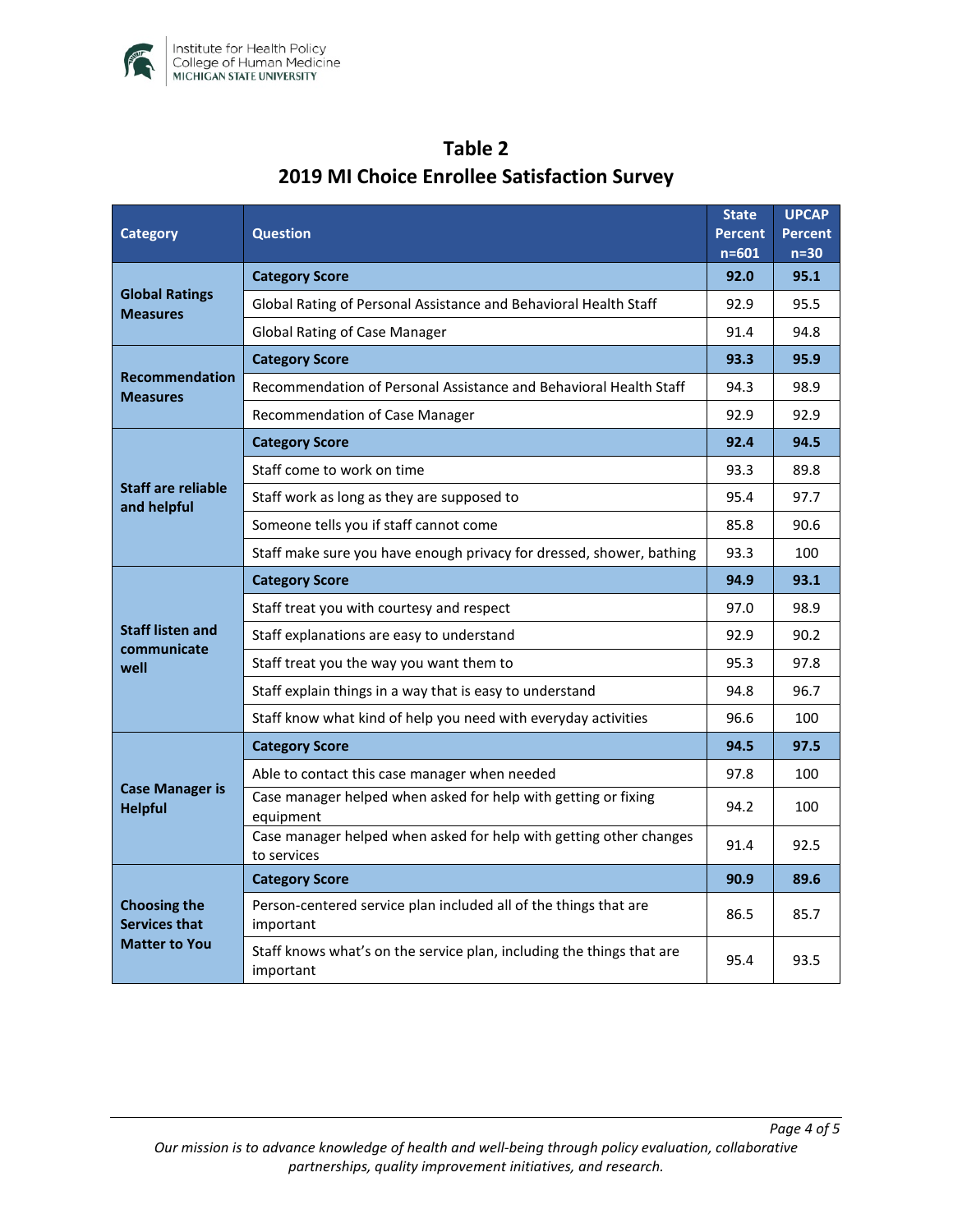

| Category                                                            | <b>Question</b>                                                                    |      | <b>UPCAP</b><br><b>Percent</b><br>$n=30$ |
|---------------------------------------------------------------------|------------------------------------------------------------------------------------|------|------------------------------------------|
| <b>Global Ratings</b><br><b>Measures</b>                            | <b>Category Score</b>                                                              | 92.0 | 95.1                                     |
|                                                                     | Global Rating of Personal Assistance and Behavioral Health Staff                   |      | 95.5                                     |
|                                                                     | <b>Global Rating of Case Manager</b>                                               | 91.4 | 94.8                                     |
| <b>Recommendation</b><br><b>Measures</b>                            | <b>Category Score</b>                                                              | 93.3 | 95.9                                     |
|                                                                     | Recommendation of Personal Assistance and Behavioral Health Staff                  | 94.3 | 98.9                                     |
|                                                                     | Recommendation of Case Manager                                                     | 92.9 | 92.9                                     |
| Staff are reliable<br>and helpful                                   | <b>Category Score</b>                                                              | 92.4 | 94.5                                     |
|                                                                     | Staff come to work on time                                                         | 93.3 | 89.8                                     |
|                                                                     | Staff work as long as they are supposed to                                         | 95.4 | 97.7                                     |
|                                                                     | Someone tells you if staff cannot come                                             | 85.8 | 90.6                                     |
|                                                                     | Staff make sure you have enough privacy for dressed, shower, bathing               | 93.3 | 100                                      |
| <b>Staff listen and</b><br>communicate<br>well                      | <b>Category Score</b>                                                              | 94.9 | 93.1                                     |
|                                                                     | Staff treat you with courtesy and respect                                          | 97.0 | 98.9                                     |
|                                                                     | Staff explanations are easy to understand                                          | 92.9 | 90.2                                     |
|                                                                     | Staff treat you the way you want them to                                           | 95.3 | 97.8                                     |
|                                                                     | Staff explain things in a way that is easy to understand                           | 94.8 | 96.7                                     |
|                                                                     | Staff know what kind of help you need with everyday activities                     | 96.6 | 100                                      |
| <b>Case Manager is</b><br><b>Helpful</b>                            | <b>Category Score</b>                                                              | 94.5 | 97.5                                     |
|                                                                     | Able to contact this case manager when needed                                      | 97.8 | 100                                      |
|                                                                     | Case manager helped when asked for help with getting or fixing<br>equipment        | 94.2 | 100                                      |
|                                                                     | Case manager helped when asked for help with getting other changes<br>to services  | 91.4 | 92.5                                     |
| <b>Choosing the</b><br><b>Services that</b><br><b>Matter to You</b> | <b>Category Score</b>                                                              | 90.9 | 89.6                                     |
|                                                                     | Person-centered service plan included all of the things that are<br>important      |      | 85.7                                     |
|                                                                     | Staff knows what's on the service plan, including the things that are<br>important | 95.4 | 93.5                                     |

# **Table 2 2019 MI Choice Enrollee Satisfaction Survey**